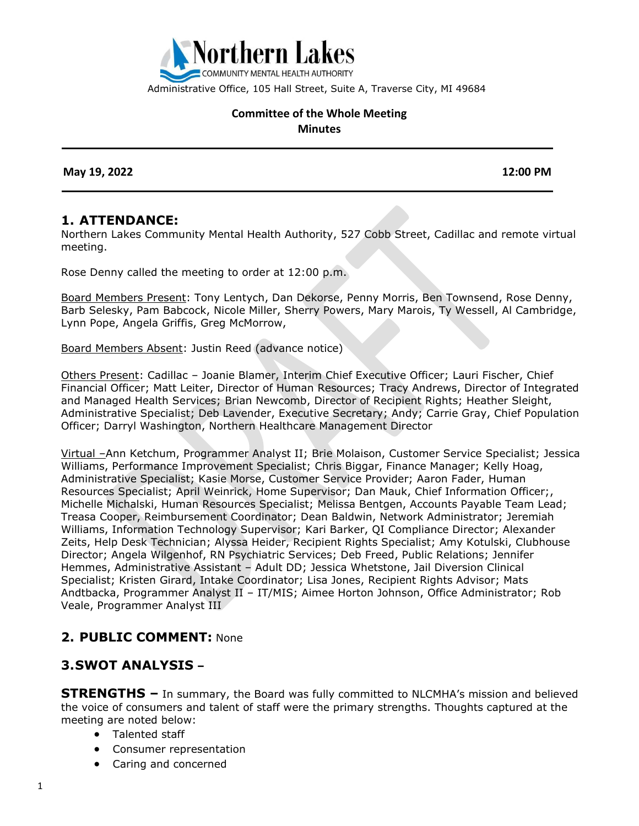

Administrative Office, 105 Hall Street, Suite A, Traverse City, MI 49684

#### **Committee of the Whole Meeting Minutes**

 **May 19, 2022 12:00 PM**

#### **1. ATTENDANCE:**

Northern Lakes Community Mental Health Authority, 527 Cobb Street, Cadillac and remote virtual meeting.

Rose Denny called the meeting to order at 12:00 p.m.

Board Members Present: Tony Lentych, Dan Dekorse, Penny Morris, Ben Townsend, Rose Denny, Barb Selesky, Pam Babcock, Nicole Miller, Sherry Powers, Mary Marois, Ty Wessell, Al Cambridge, Lynn Pope, Angela Griffis, Greg McMorrow,

Board Members Absent: Justin Reed (advance notice)

Others Present: Cadillac – Joanie Blamer, Interim Chief Executive Officer; Lauri Fischer, Chief Financial Officer; Matt Leiter, Director of Human Resources; Tracy Andrews, Director of Integrated and Managed Health Services; Brian Newcomb, Director of Recipient Rights; Heather Sleight, Administrative Specialist; Deb Lavender, Executive Secretary; Andy; Carrie Gray, Chief Population Officer; Darryl Washington, Northern Healthcare Management Director

Virtual –Ann Ketchum, Programmer Analyst II; Brie Molaison, Customer Service Specialist; Jessica Williams, Performance Improvement Specialist; Chris Biggar, Finance Manager; Kelly Hoag, Administrative Specialist; Kasie Morse, Customer Service Provider; Aaron Fader, Human Resources Specialist; April Weinrick, Home Supervisor; Dan Mauk, Chief Information Officer;, Michelle Michalski, Human Resources Specialist; Melissa Bentgen, Accounts Payable Team Lead; Treasa Cooper, Reimbursement Coordinator; Dean Baldwin, Network Administrator; Jeremiah Williams, Information Technology Supervisor; Kari Barker, QI Compliance Director; Alexander Zeits, Help Desk Technician; Alyssa Heider, Recipient Rights Specialist; Amy Kotulski, Clubhouse Director; Angela Wilgenhof, RN Psychiatric Services; Deb Freed, Public Relations; Jennifer Hemmes, Administrative Assistant – Adult DD; Jessica Whetstone, Jail Diversion Clinical Specialist; Kristen Girard, Intake Coordinator; Lisa Jones, Recipient Rights Advisor; Mats Andtbacka, Programmer Analyst II – IT/MIS; Aimee Horton Johnson, Office Administrator; Rob Veale, Programmer Analyst III

#### **2. PUBLIC COMMENT:** None

## **3.SWOT ANALYSIS –**

**STRENGTHS –** In summary, the Board was fully committed to NLCMHA's mission and believed the voice of consumers and talent of staff were the primary strengths. Thoughts captured at the meeting are noted below:

- Talented staff
- Consumer representation
- Caring and concerned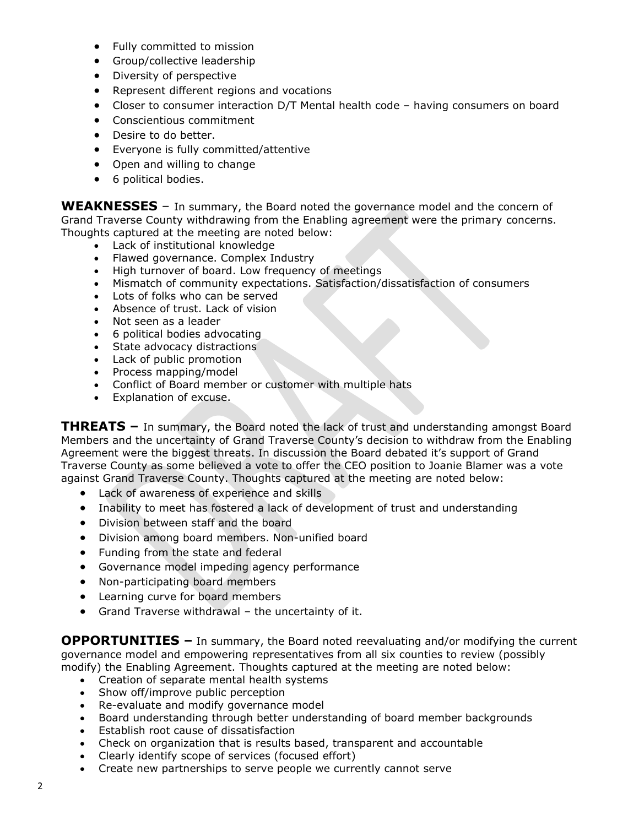- Fully committed to mission
- Group/collective leadership
- Diversity of perspective
- Represent different regions and vocations
- Closer to consumer interaction D/T Mental health code having consumers on board
- Conscientious commitment
- Desire to do better.
- Everyone is fully committed/attentive
- Open and willing to change
- 6 political bodies.

**WEAKNESSES** – In summary, the Board noted the governance model and the concern of Grand Traverse County withdrawing from the Enabling agreement were the primary concerns. Thoughts captured at the meeting are noted below:

- Lack of institutional knowledge
- Flawed governance. Complex Industry
- High turnover of board. Low frequency of meetings
- Mismatch of community expectations. Satisfaction/dissatisfaction of consumers
- Lots of folks who can be served
- Absence of trust. Lack of vision
- Not seen as a leader
- 6 political bodies advocating
- State advocacy distractions
- Lack of public promotion
- Process mapping/model
- Conflict of Board member or customer with multiple hats
- Explanation of excuse.

**THREATS –** In summary, the Board noted the lack of trust and understanding amongst Board Members and the uncertainty of Grand Traverse County's decision to withdraw from the Enabling Agreement were the biggest threats. In discussion the Board debated it's support of Grand Traverse County as some believed a vote to offer the CEO position to Joanie Blamer was a vote against Grand Traverse County. Thoughts captured at the meeting are noted below:

- Lack of awareness of experience and skills
- Inability to meet has fostered a lack of development of trust and understanding
- Division between staff and the board
- Division among board members. Non-unified board
- Funding from the state and federal
- Governance model impeding agency performance
- Non-participating board members
- Learning curve for board members
- Grand Traverse withdrawal the uncertainty of it.

**OPPORTUNITIES –** In summary, the Board noted reevaluating and/or modifying the current governance model and empowering representatives from all six counties to review (possibly modify) the Enabling Agreement. Thoughts captured at the meeting are noted below:

- Creation of separate mental health systems
- Show off/improve public perception
- Re-evaluate and modify governance model
- Board understanding through better understanding of board member backgrounds
- Establish root cause of dissatisfaction
- Check on organization that is results based, transparent and accountable
- Clearly identify scope of services (focused effort)
- Create new partnerships to serve people we currently cannot serve